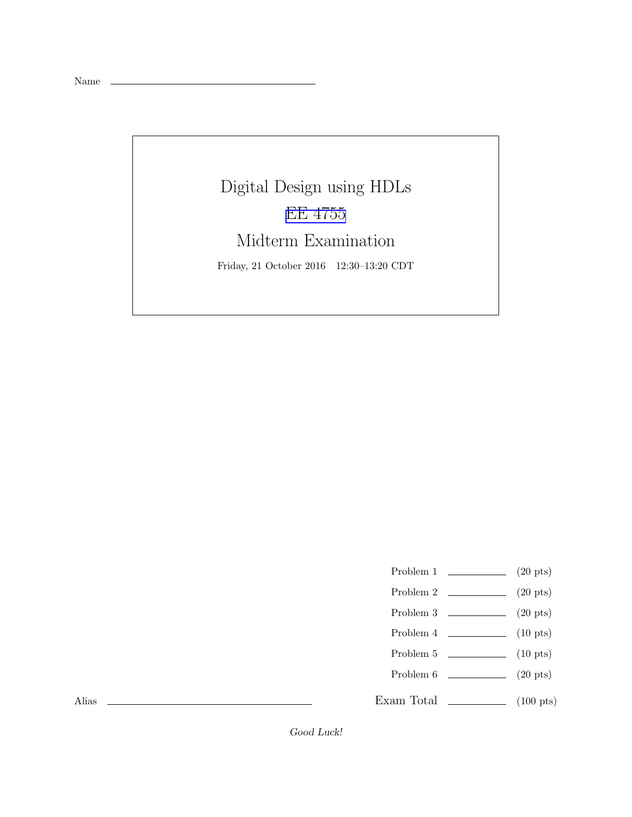Name

Digital Design using HDLs [EE 4755](http://www.ece.lsu.edu/koppel/v/) Midterm Examination Friday, 21 October 2016 12:30–13:20 CDT

- Problem 1  $\qquad \qquad$  (20 pts)
- Problem 2  $\qquad \qquad (20 \text{ pts})$
- Problem  $3 \t\t(20 \text{ pts})$
- Problem 4  $\qquad \qquad$  (10 pts)
- Problem 5  $\qquad \qquad$  (10 pts)
- Problem 6 (20 pts)
- Exam Total \_\_\_\_\_\_\_\_\_\_\_\_\_ (100 pts)

Alias

Good Luck!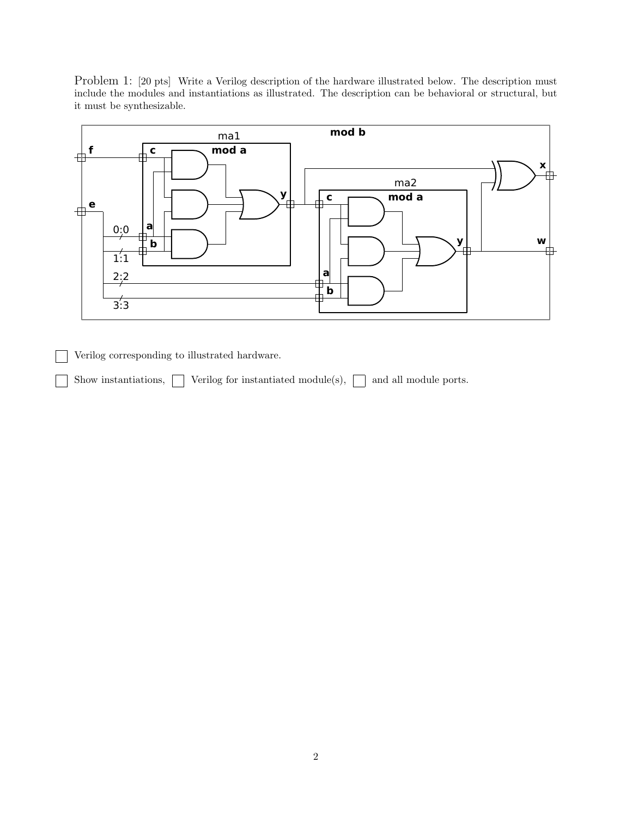Problem 1: [20 pts] Write a Verilog description of the hardware illustrated below. The description must include the modules and instantiations as illustrated. The description can be behavioral or structural, but it must be synthesizable.



Verilog corresponding to illustrated hardware.

Show instantiations,  $\Box$  Verilog for instantiated module(s),  $\Box$  and all module ports.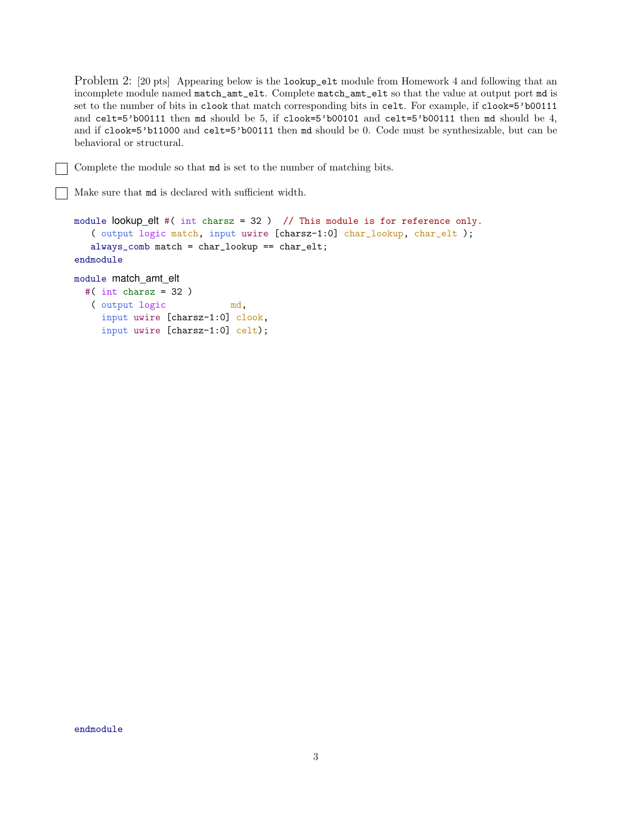Problem 2: [20 pts] Appearing below is the lookup\_elt module from Homework 4 and following that an incomplete module named match\_amt\_elt. Complete match\_amt\_elt so that the value at output port md is set to the number of bits in clook that match corresponding bits in celt. For example, if clook=5'b00111 and celt=5'b00111 then md should be 5, if clook=5'b00101 and celt=5'b00111 then md should be 4, and if clook=5'b11000 and celt=5'b00111 then md should be 0. Code must be synthesizable, but can be behavioral or structural.

Complete the module so that md is set to the number of matching bits.

Make sure that md is declared with sufficient width.

```
module lookup elt #( int charsz = 32 ) // This module is for reference only.
   ( output logic match, input uwire [charsz-1:0] char_lookup, char_elt );
   always_comb match = char_lookup == char_elt;
endmodule
module match_amt_elt
  #( int charsz = 32 )
   ( output logic md,
     input uwire [charsz-1:0] clook,
     input uwire [charsz-1:0] celt);
```
endmodule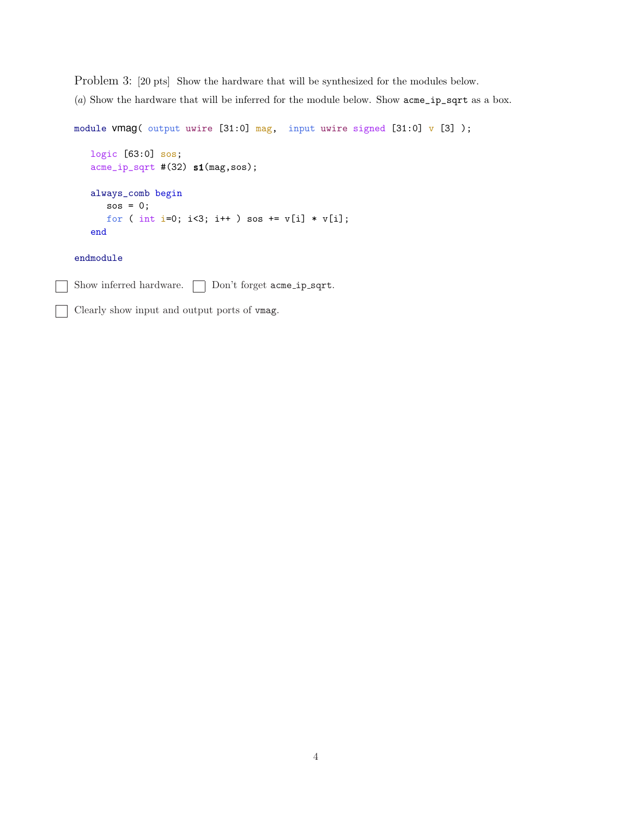Problem 3: [20 pts] Show the hardware that will be synthesized for the modules below.

(*a*) Show the hardware that will be inferred for the module below. Show acme\_ip\_sqrt as a box.

```
module vmag( output uwire [31:0] mag, input uwire signed [31:0] v [3]);
  logic [63:0] sos;
  acme_ip_sqrt #(32) s1(mag,sos);
  always_comb begin
     sos = 0;for ( int i=0; i<3; i++ ) sos += v[i] * v[i];end
```
endmodule

Show inferred hardware.  $\Box$  Don't forget acme\_ip\_sqrt.

Clearly show input and output ports of vmag.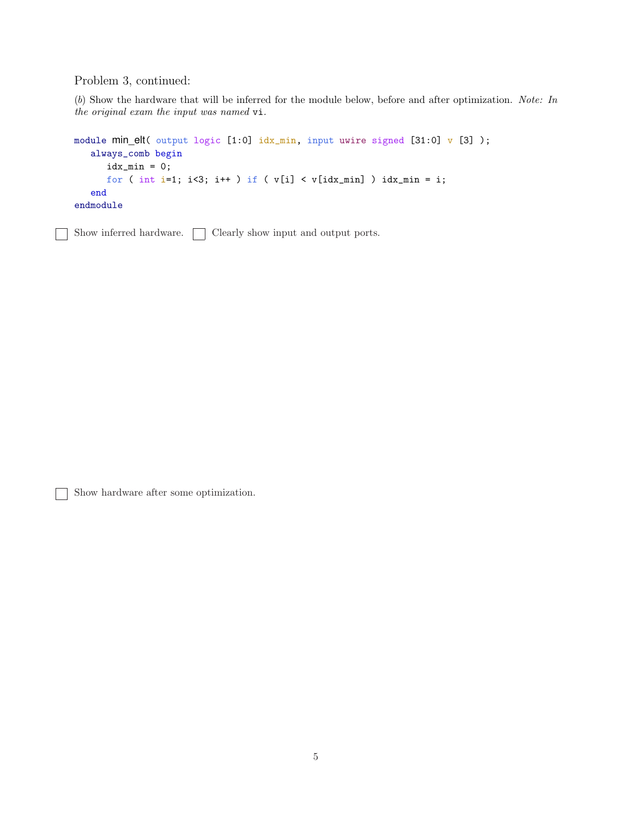Problem 3, continued:

(*b*) Show the hardware that will be inferred for the module below, before and after optimization. *Note: In the original exam the input was named* vi*.*

```
module min_elt( output logic [1:0] idx_min, input uwire signed [31:0] v [3] );
   always_comb begin
     idx\_min = 0;for ( int i=1; i<3; i++ ) if ( v[i] < v[idx_min] ) idx_min = i;
   end
endmodule
```
Show inferred hardware.  $\Box$  Clearly show input and output ports.

Show hardware after some optimization.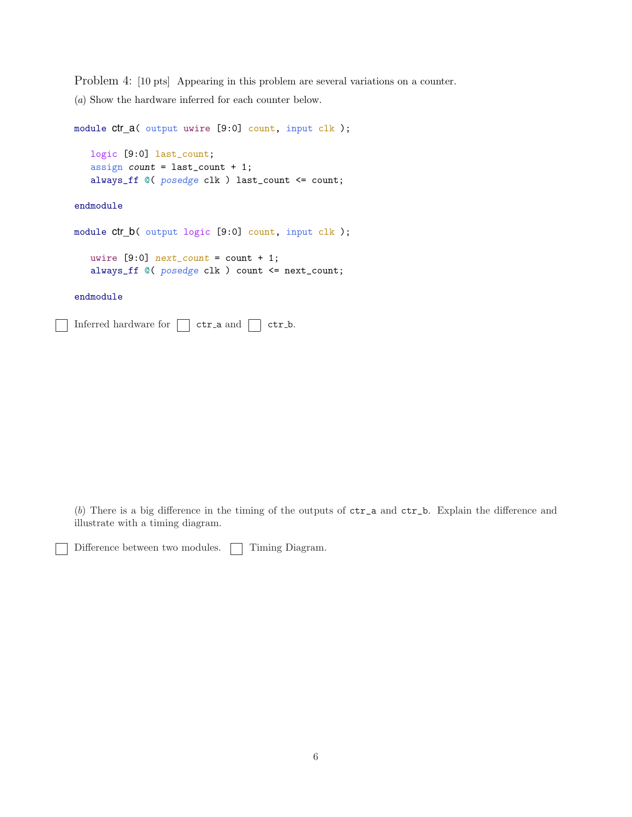Problem 4: [10 pts] Appearing in this problem are several variations on a counter. (*a*) Show the hardware inferred for each counter below.

```
module ctr_a( output uwire [9:0] count, input clk );
   logic [9:0] last_count;
   assign count = last_count + 1;
   always_ff @( posedge clk ) last_count <= count;
endmodule
```

```
module ctr_b( output logic [9:0] count, input clk );
```

```
uwire [9:0] next_count = count + 1;
always_ff @( posedge clk ) count <= next_count;
```
endmodule

Inferred hardware for  $\Box$  ctr a and  $\Box$  ctr b.

(*b*) There is a big difference in the timing of the outputs of ctr\_a and ctr\_b. Explain the difference and illustrate with a timing diagram.

Difference between two modules.  $\Box$  Timing Diagram.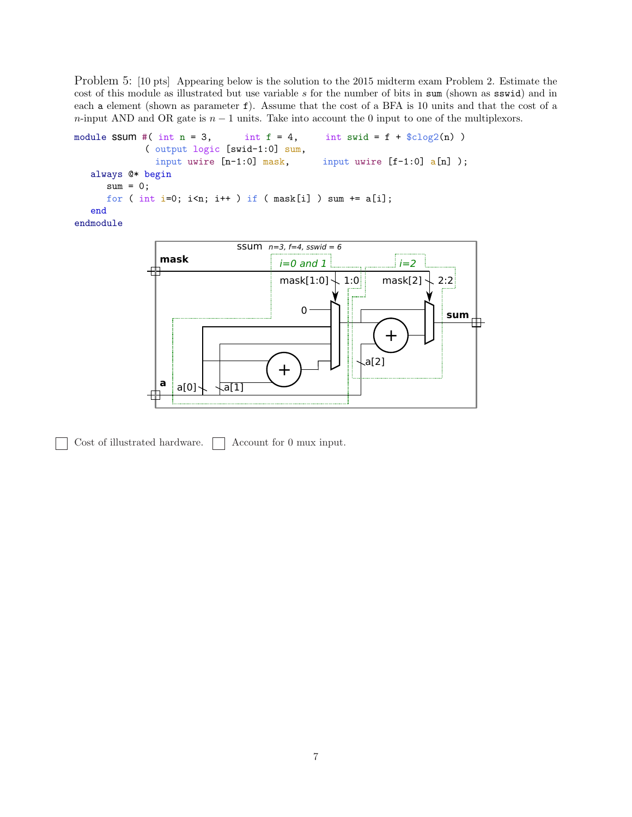Problem 5: [10 pts] Appearing below is the solution to the 2015 midterm exam Problem 2. Estimate the cost of this module as illustrated but use variable  $s$  for the number of bits in sum (shown as sswid) and in each a element (shown as parameter f). Assume that the cost of a BFA is 10 units and that the cost of a n-input AND and OR gate is  $n - 1$  units. Take into account the 0 input to one of the multiplexors.

```
module SSUM #( int n = 3, int f = 4, int swid = f + \text{\$clog2(n)})
            ( output logic [swid-1:0] sum,
              input uwire [n-1:0] mask, input uwire [f-1:0] a[n]);
   always @* begin
     sum = 0;for ( int i=0; i<n; i++ ) if ( mask[i] ) sum += a[i];
   end
endmodule
```


Cost of illustrated hardware.  $\Box$  Account for 0 mux input.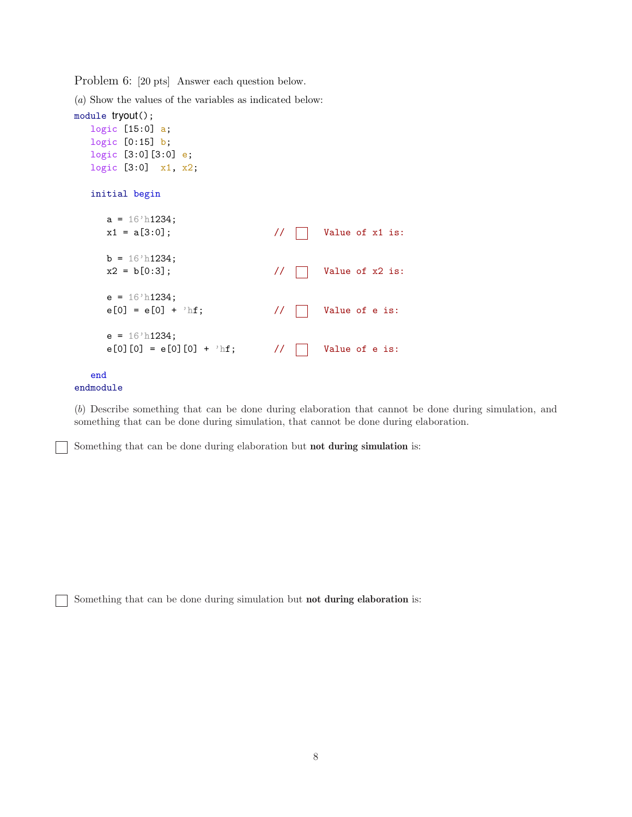Problem 6: [20 pts] Answer each question below.

(*a*) Show the values of the variables as indicated below:

```
module tryout();
  logic [15:0] a;
  logic [0:15] b;
  logic [3:0][3:0] e;
  logic [3:0] x1, x2;
  initial begin
     a = 16'h1234;
     x1 = a[3:0]; // | Value of x1 is:
     b = 16' h1234;x2 = b[0:3]; // | Value of x2 is:
     e = 16' h1234;e[0] = e[0] + 'hf; // | Value of e is:
     e = 16'h1234;
     e[0][0] = e[0][0] + 'hf; // Value of e is:
  end
```

```
endmodule
```
(*b*) Describe something that can be done during elaboration that cannot be done during simulation, and something that can be done during simulation, that cannot be done during elaboration.

Something that can be done during elaboration but not during simulation is:

Something that can be done during simulation but not during elaboration is: